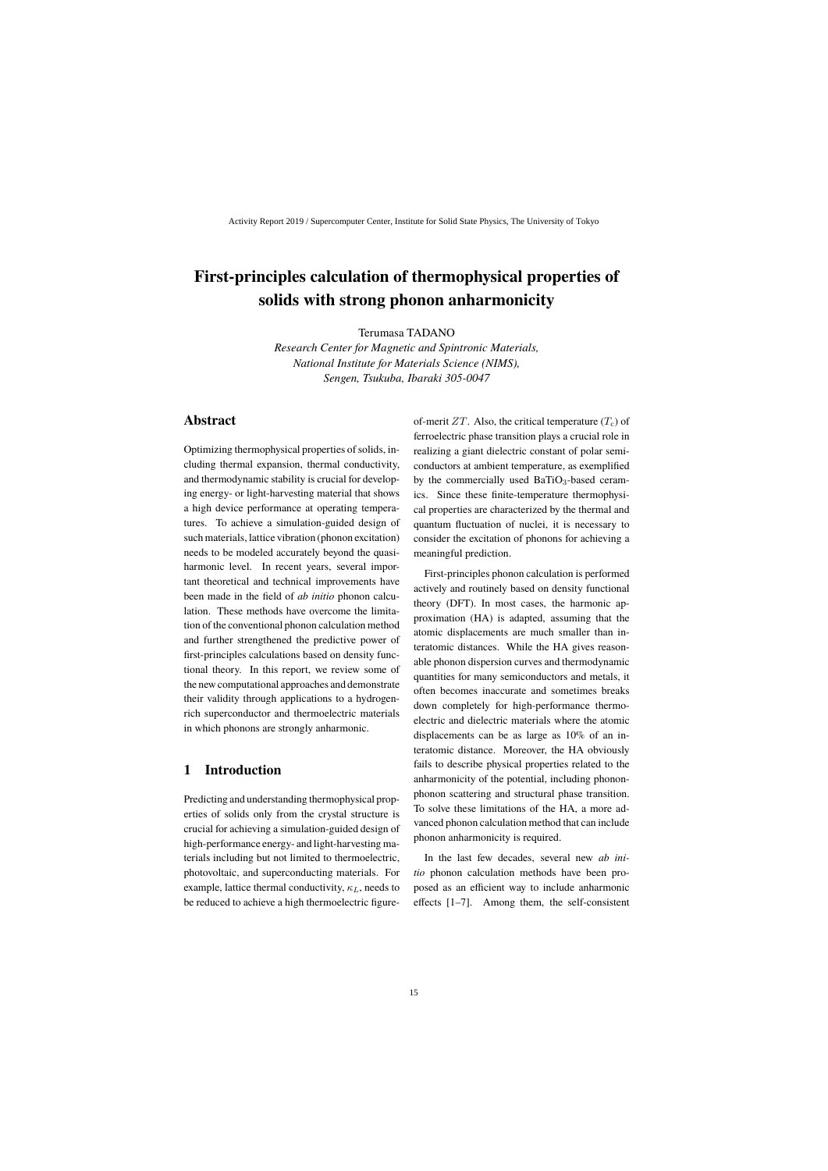# **First-principles calculation of thermophysical properties of solids with strong phonon anharmonicity**

Terumasa TADANO

*Research Center for Magnetic and Spintronic Materials, National Institute for Materials Science (NIMS), Sengen, Tsukuba, Ibaraki 305-0047*

# **Abstract**

Optimizing thermophysical properties of solids, including thermal expansion, thermal conductivity, and thermodynamic stability is crucial for developing energy- or light-harvesting material that shows a high device performance at operating temperatures. To achieve a simulation-guided design of such materials, lattice vibration (phonon excitation) needs to be modeled accurately beyond the quasiharmonic level. In recent years, several important theoretical and technical improvements have been made in the field of *ab initio* phonon calculation. These methods have overcome the limitation of the conventional phonon calculation method and further strengthened the predictive power of first-principles calculations based on density functional theory. In this report, we review some of the new computational approaches and demonstrate their validity through applications to a hydrogenrich superconductor and thermoelectric materials in which phonons are strongly anharmonic.

# **1 Introduction**

Predicting and understanding thermophysical properties of solids only from the crystal structure is crucial for achieving a simulation-guided design of high-performance energy- and light-harvesting materials including but not limited to thermoelectric, photovoltaic, and superconducting materials. For example, lattice thermal conductivity,  $\kappa_L$ , needs to be reduced to achieve a high thermoelectric figureof-merit  $ZT$ . Also, the critical temperature  $(T_c)$  of ferroelectric phase transition plays a crucial role in realizing a giant dielectric constant of polar semiconductors at ambient temperature, as exemplified by the commercially used  $BaTiO<sub>3</sub>$ -based ceramics. Since these finite-temperature thermophysical properties are characterized by the thermal and quantum fluctuation of nuclei, it is necessary to consider the excitation of phonons for achieving a meaningful prediction.

First-principles phonon calculation is performed actively and routinely based on density functional theory (DFT). In most cases, the harmonic approximation (HA) is adapted, assuming that the atomic displacements are much smaller than interatomic distances. While the HA gives reasonable phonon dispersion curves and thermodynamic quantities for many semiconductors and metals, it often becomes inaccurate and sometimes breaks down completely for high-performance thermoelectric and dielectric materials where the atomic displacements can be as large as 10% of an interatomic distance. Moreover, the HA obviously fails to describe physical properties related to the anharmonicity of the potential, including phononphonon scattering and structural phase transition. To solve these limitations of the HA, a more advanced phonon calculation method that can include phonon anharmonicity is required.

In the last few decades, several new *ab initio* phonon calculation methods have been proposed as an efficient way to include anharmonic effects [1–7]. Among them, the self-consistent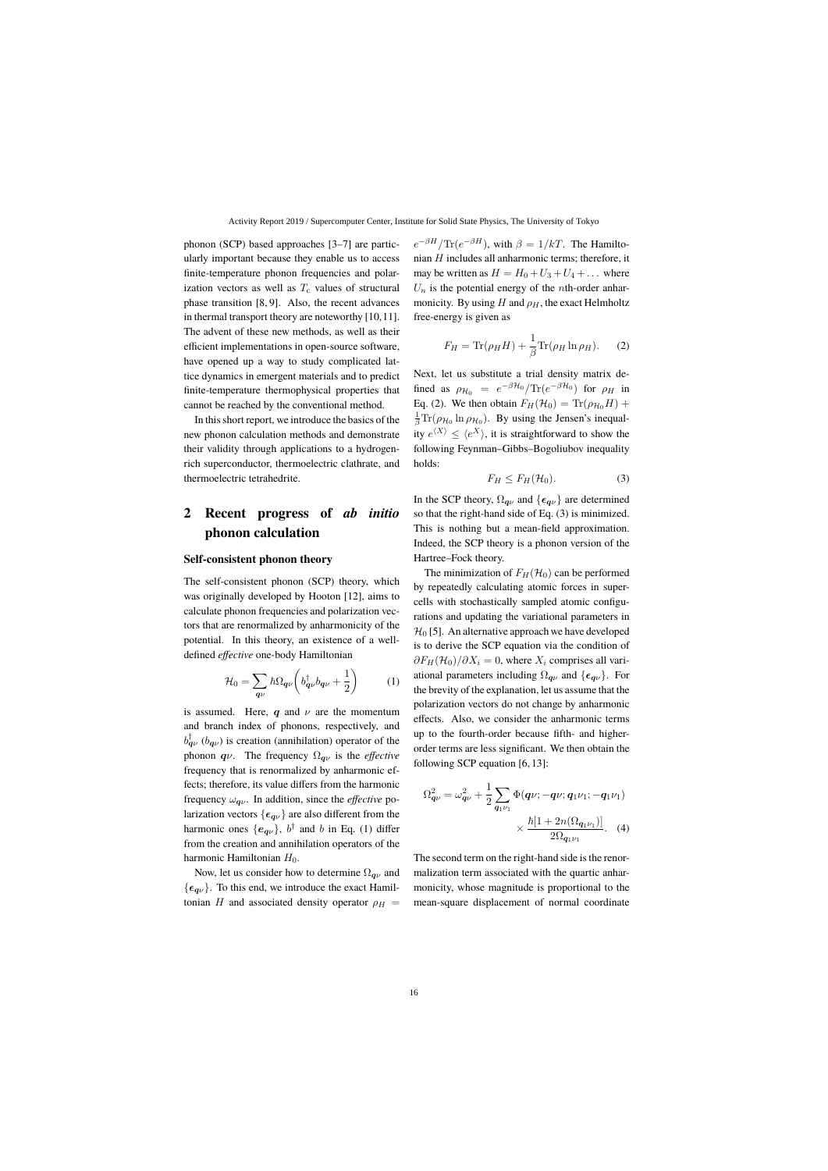phonon (SCP) based approaches [3–7] are particularly important because they enable us to access finite-temperature phonon frequencies and polarization vectors as well as  $T_c$  values of structural phase transition [8, 9]. Also, the recent advances in thermal transport theory are noteworthy [10,11]. The advent of these new methods, as well as their efficient implementations in open-source software, have opened up a way to study complicated lattice dynamics in emergent materials and to predict finite-temperature thermophysical properties that cannot be reached by the conventional method.

In this short report, we introduce the basics of the new phonon calculation methods and demonstrate their validity through applications to a hydrogenrich superconductor, thermoelectric clathrate, and thermoelectric tetrahedrite.

# **2 Recent progress of** *ab initio* **phonon calculation**

#### **Self-consistent phonon theory**

The self-consistent phonon (SCP) theory, which was originally developed by Hooton [12], aims to calculate phonon frequencies and polarization vectors that are renormalized by anharmonicity of the potential. In this theory, an existence of a welldefined *effective* one-body Hamiltonian

$$
\mathcal{H}_0 = \sum_{\mathbf{q}\nu} \hbar \Omega_{\mathbf{q}\nu} \left( b_{\mathbf{q}\nu}^\dagger b_{\mathbf{q}\nu} + \frac{1}{2} \right) \tag{1}
$$

is assumed. Here, q and  $\nu$  are the momentum and branch index of phonons, respectively, and  $b_{\boldsymbol{q}\nu}^{\dagger}$  ( $b_{\boldsymbol{q}\nu}$ ) is creation (annihilation) operator of the phonon  $q\nu$ . The frequency  $\Omega_{q\nu}$  is the *effective* frequency that is renormalized by anharmonic effects; therefore, its value differs from the harmonic frequency  $\omega_{\mathbf{q}\nu}$ . In addition, since the *effective* polarization vectors  $\{\epsilon_{q\nu}\}\$ are also different from the harmonic ones  $\{e_{\boldsymbol{q}\nu}\}, b^{\dagger}$  and b in Eq. (1) differ from the creation and annihilation operators of the harmonic Hamiltonian  $H_0$ .

Now, let us consider how to determine  $\Omega_{\alpha\nu}$  and  $\{\epsilon_{q\nu}\}.$  To this end, we introduce the exact Hamiltonian H and associated density operator  $\rho_H$  =

 $e^{-\beta H}/\text{Tr}(e^{-\beta H})$ , with  $\beta = 1/kT$ . The Hamiltonian  $H$  includes all anharmonic terms; therefore, it may be written as  $H = H_0 + U_3 + U_4 + \dots$  where  $U_n$  is the potential energy of the *n*th-order anharmonicity. By using H and  $\rho_H$ , the exact Helmholtz free-energy is given as

$$
F_H = \text{Tr}(\rho_H H) + \frac{1}{\beta} \text{Tr}(\rho_H \ln \rho_H). \tag{2}
$$

Next, let us substitute a trial density matrix defined as  $\rho_{\mathcal{H}_0} = e^{-\beta \mathcal{H}_0} / \text{Tr}(e^{-\beta \mathcal{H}_0})$  for  $\rho_H$  in Eq. (2). We then obtain  $F_H(\mathcal{H}_0) = \text{Tr}(\rho_{\mathcal{H}_0}H) +$  $\frac{1}{\beta} \text{Tr}(\rho_{\mathcal{H}_0} \ln \rho_{\mathcal{H}_0})$ . By using the Jensen's inequality  $e^{\langle X \rangle} \leq \langle e^X \rangle$ , it is straightforward to show the following Feynman–Gibbs–Bogoliubov inequality holds:

$$
F_H \le F_H(\mathcal{H}_0). \tag{3}
$$

In the SCP theory,  $\Omega_{\mathbf{q}\nu}$  and  $\{\epsilon_{\mathbf{q}\nu}\}\$  are determined so that the right-hand side of Eq. (3) is minimized. This is nothing but a mean-field approximation. Indeed, the SCP theory is a phonon version of the Hartree–Fock theory.

The minimization of  $F_H(\mathcal{H}_0)$  can be performed by repeatedly calculating atomic forces in supercells with stochastically sampled atomic configurations and updating the variational parameters in  $\mathcal{H}_0$  [5]. An alternative approach we have developed is to derive the SCP equation via the condition of  $\partial F_H(\mathcal{H}_0)/\partial X_i = 0$ , where  $X_i$  comprises all variational parameters including  $\Omega_{\mathbf{q}\nu}$  and  $\{\epsilon_{\mathbf{q}\nu}\}\$ . For the brevity of the explanation, let us assume that the polarization vectors do not change by anharmonic effects. Also, we consider the anharmonic terms up to the fourth-order because fifth- and higherorder terms are less significant. We then obtain the following SCP equation [6, 13]:

$$
\Omega_{\mathbf{q}\nu}^{2} = \omega_{\mathbf{q}\nu}^{2} + \frac{1}{2} \sum_{\mathbf{q}_{1}\nu_{1}} \Phi(\mathbf{q}\nu; -\mathbf{q}\nu; \mathbf{q}_{1}\nu_{1}; -\mathbf{q}_{1}\nu_{1})
$$

$$
\times \frac{\hbar[1 + 2n(\Omega_{\mathbf{q}_{1}\nu_{1}})]}{2\Omega_{\mathbf{q}_{1}\nu_{1}}}.
$$
 (4)

The second term on the right-hand side is the renormalization term associated with the quartic anharmonicity, whose magnitude is proportional to the mean-square displacement of normal coordinate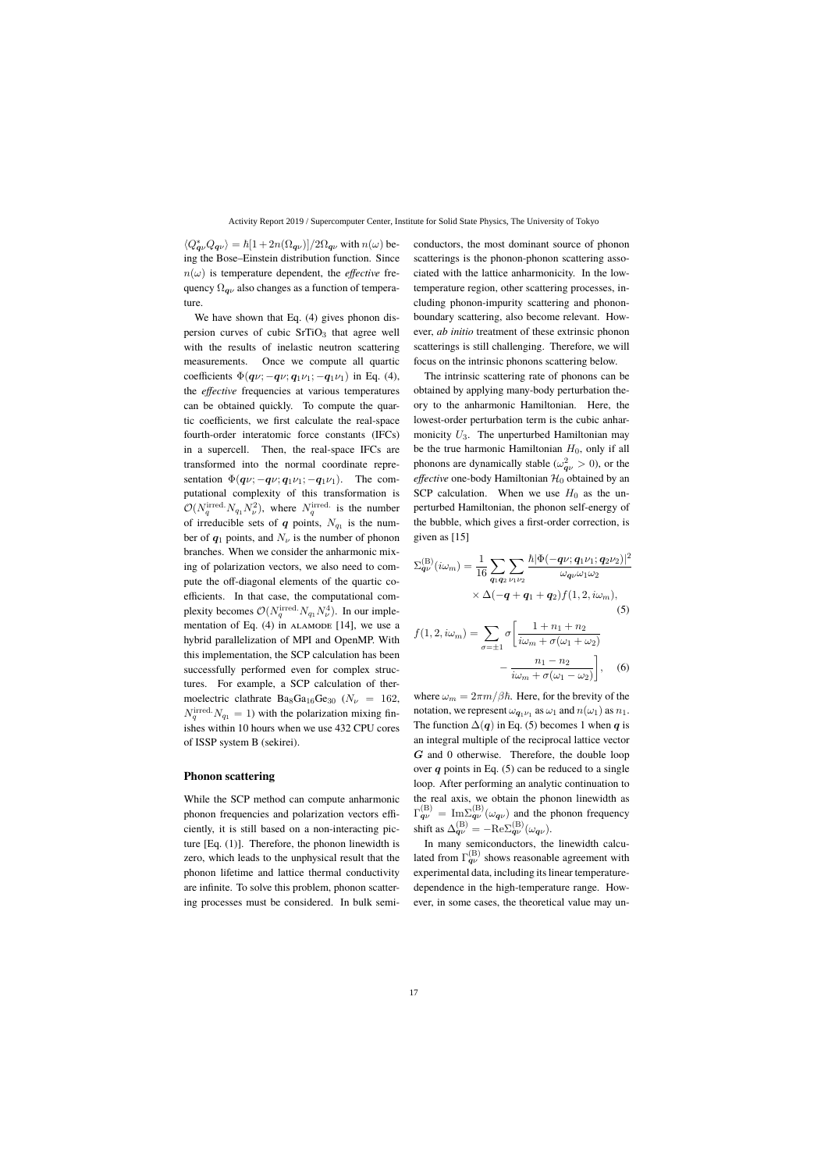$\langle Q_{\pmb{q}\nu}^* Q_{\pmb{q}\nu}\rangle = \hbar [1+2n(\Omega_{\pmb{q}\nu})]/2\Omega_{\pmb{q}\nu}$  with  $n(\omega)$  being the Bose–Einstein distribution function. Since  $n(\omega)$  is temperature dependent, the *effective* frequency  $\Omega_{\alpha\nu}$  also changes as a function of temperature.

We have shown that Eq. (4) gives phonon dispersion curves of cubic  $SrTiO<sub>3</sub>$  that agree well with the results of inelastic neutron scattering measurements. Once we compute all quartic coefficients  $\Phi(q\nu; -q\nu; q_1\nu_1; -q_1\nu_1)$  in Eq. (4), the *effective* frequencies at various temperatures can be obtained quickly. To compute the quartic coefficients, we first calculate the real-space fourth-order interatomic force constants (IFCs) in a supercell. Then, the real-space IFCs are transformed into the normal coordinate representation  $\Phi(q\nu; -q\nu; q_1\nu_1; -q_1\nu_1)$ . The computational complexity of this transformation is  $\mathcal{O}(N_q^{\text{irred}} \cdot N_{q_1} N_\nu^2)$ , where  $N_q^{\text{irred}}$  is the number of irreducible sets of q points,  $N_{q_1}$  is the number of  $q_1$  points, and  $N_{\nu}$  is the number of phonon branches. When we consider the anharmonic mixing of polarization vectors, we also need to compute the off-diagonal elements of the quartic coefficients. In that case, the computational complexity becomes  $\mathcal{O}(N_q^{\text{irred}} \cdot N_{q_1} N_{\nu}^4)$ . In our implementation of Eq.  $(4)$  in  $ALAMODE$  [14], we use a hybrid parallelization of MPI and OpenMP. With this implementation, the SCP calculation has been successfully performed even for complex structures. For example, a SCP calculation of thermoelectric clathrate  $Ba_8Ga_{16}Ge_{30}$  ( $N_{\nu} = 162$ ,  $N_q^{\text{irred}} \cdot N_{q_1} = 1$ ) with the polarization mixing finishes within 10 hours when we use 432 CPU cores of ISSP system B (sekirei).

#### **Phonon scattering**

While the SCP method can compute anharmonic phonon frequencies and polarization vectors efficiently, it is still based on a non-interacting picture [Eq. (1)]. Therefore, the phonon linewidth is zero, which leads to the unphysical result that the phonon lifetime and lattice thermal conductivity are infinite. To solve this problem, phonon scattering processes must be considered. In bulk semiconductors, the most dominant source of phonon scatterings is the phonon-phonon scattering associated with the lattice anharmonicity. In the lowtemperature region, other scattering processes, including phonon-impurity scattering and phononboundary scattering, also become relevant. However, *ab initio* treatment of these extrinsic phonon scatterings is still challenging. Therefore, we will focus on the intrinsic phonons scattering below.

The intrinsic scattering rate of phonons can be obtained by applying many-body perturbation theory to the anharmonic Hamiltonian. Here, the lowest-order perturbation term is the cubic anharmonicity  $U_3$ . The unperturbed Hamiltonian may be the true harmonic Hamiltonian  $H_0$ , only if all phonons are dynamically stable ( $\omega_{\mathbf{q}\nu}^2 > 0$ ), or the *effective* one-body Hamiltonian  $\mathcal{H}_0$  obtained by an SCP calculation. When we use  $H_0$  as the unperturbed Hamiltonian, the phonon self-energy of the bubble, which gives a first-order correction, is given as [15]

$$
\Sigma_{\mathbf{q}\nu}^{(\mathrm{B})}(i\omega_{m}) = \frac{1}{16} \sum_{\mathbf{q}_{1}\mathbf{q}_{2}} \sum_{\nu_{1}\nu_{2}} \frac{\hbar |\Phi(-\mathbf{q}\nu; \mathbf{q}_{1}\nu_{1}; \mathbf{q}_{2}\nu_{2})|^{2}}{\omega_{\mathbf{q}\nu}\omega_{1}\omega_{2}} \times \Delta(-\mathbf{q} + \mathbf{q}_{1} + \mathbf{q}_{2}) f(1, 2, i\omega_{m}), \tag{5}
$$

$$
f(1, 2, i\omega_m) = \sum_{\sigma = \pm 1} \sigma \left[ \frac{1 + n_1 + n_2}{i\omega_m + \sigma(\omega_1 + \omega_2)} - \frac{n_1 - n_2}{i\omega_m + \sigma(\omega_1 - \omega_2)} \right], \quad (6)
$$

where  $\omega_m = 2\pi m/\beta\hbar$ . Here, for the brevity of the notation, we represent  $\omega_{\mathbf{q}_1 \nu_1}$  as  $\omega_1$  and  $n(\omega_1)$  as  $n_1$ . The function  $\Delta(q)$  in Eq. (5) becomes 1 when q is an integral multiple of the reciprocal lattice vector G and 0 otherwise. Therefore, the double loop over  $q$  points in Eq. (5) can be reduced to a single loop. After performing an analytic continuation to the real axis, we obtain the phonon linewidth as  $\Gamma_{\mathbf{q}\nu}^{(\mathrm{B})} = \mathrm{Im}\Sigma_{\mathbf{q}\nu}^{(\mathrm{B})}(\omega_{\mathbf{q}\nu})$  and the phonon frequency shift as  $\Delta_{\boldsymbol{q}\nu}^{(\mathrm{B})} = -\mathrm{Re}\Sigma_{\boldsymbol{q}\nu}^{(\mathrm{B})}(\omega_{\boldsymbol{q}\nu}).$ 

In many semiconductors, the linewidth calculated from  $\Gamma_{\mathbf{q}\nu}^{(\mathrm{B})}$  shows reasonable agreement with experimental data, including its linear temperaturedependence in the high-temperature range. However, in some cases, the theoretical value may un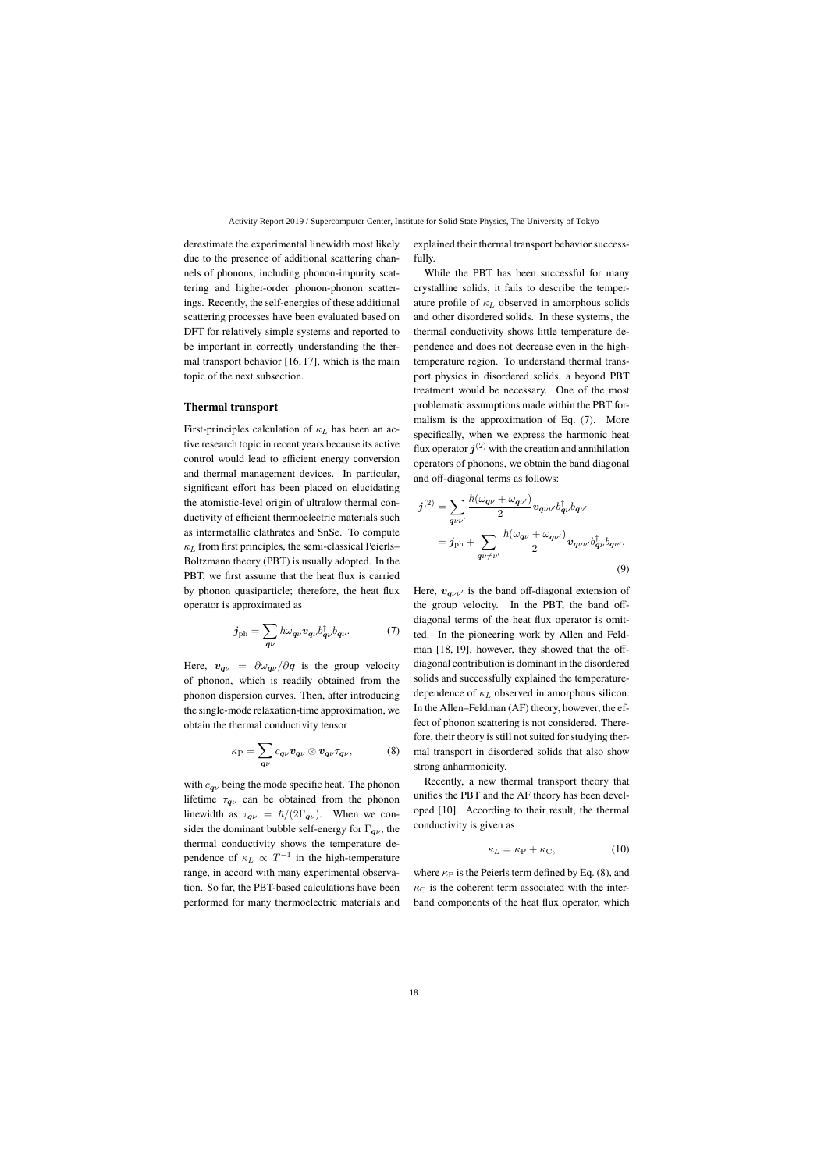derestimate the experimental linewidth most likely due to the presence of additional scattering channels of phonons, including phonon-impurity scattering and higher-order phonon-phonon scatterings. Recently, the self-energies of these additional scattering processes have been evaluated based on DFT for relatively simple systems and reported to be important in correctly understanding the thermal transport behavior [16, 17], which is the main topic of the next subsection.

#### **Thermal transport**

First-principles calculation of  $\kappa_L$  has been an active research topic in recent years because its active control would lead to efficient energy conversion and thermal management devices. In particular, significant effort has been placed on elucidating the atomistic-level origin of ultralow thermal conductivity of efficient thermoelectric materials such as intermetallic clathrates and SnSe. To compute  $\kappa_L$  from first principles, the semi-classical Peierls– Boltzmann theory (PBT) is usually adopted. In the PBT, we first assume that the heat flux is carried by phonon quasiparticle; therefore, the heat flux operator is approximated as

$$
j_{\rm ph} = \sum_{\boldsymbol{q}\nu} \hbar \omega_{\boldsymbol{q}\nu} v_{\boldsymbol{q}\nu} b_{\boldsymbol{q}\nu}^{\dagger} b_{\boldsymbol{q}\nu}.
$$
 (7)

Here,  $v_{\mathbf{q}\nu} = \partial \omega_{\mathbf{q}\nu}/\partial \mathbf{q}$  is the group velocity of phonon, which is readily obtained from the phonon dispersion curves. Then, after introducing the single-mode relaxation-time approximation, we obtain the thermal conductivity tensor

$$
\kappa_{\rm P} = \sum_{\boldsymbol{q}\nu} c_{\boldsymbol{q}\nu} \boldsymbol{v}_{\boldsymbol{q}\nu} \otimes \boldsymbol{v}_{\boldsymbol{q}\nu} \tau_{\boldsymbol{q}\nu},\tag{8}
$$

with  $c_{q\nu}$  being the mode specific heat. The phonon lifetime  $\tau_{\mathbf{q}\nu}$  can be obtained from the phonon linewidth as  $\tau_{\mathbf{q}\nu} = \hbar/(2\Gamma_{\mathbf{q}\nu})$ . When we consider the dominant bubble self-energy for  $\Gamma_{\mathbf{q}\nu}$ , the thermal conductivity shows the temperature dependence of  $\kappa_L \propto T^{-1}$  in the high-temperature range, in accord with many experimental observation. So far, the PBT-based calculations have been performed for many thermoelectric materials and explained their thermal transport behavior successfully.

While the PBT has been successful for many crystalline solids, it fails to describe the temperature profile of  $\kappa_L$  observed in amorphous solids and other disordered solids. In these systems, the thermal conductivity shows little temperature dependence and does not decrease even in the hightemperature region. To understand thermal transport physics in disordered solids, a beyond PBT treatment would be necessary. One of the most problematic assumptions made within the PBT formalism is the approximation of Eq. (7). More specifically, when we express the harmonic heat flux operator  $j^{(2)}$  with the creation and annihilation operators of phonons, we obtain the band diagonal and off-diagonal terms as follows:

$$
j^{(2)} = \sum_{q\nu\nu'} \frac{\hbar(\omega_{q\nu} + \omega_{q\nu'})}{2} v_{q\nu\nu'} b_{q\nu}^{\dagger} b_{q\nu'}
$$
  

$$
= j_{\text{ph}} + \sum_{q\nu \neq \nu'} \frac{\hbar(\omega_{q\nu} + \omega_{q\nu'})}{2} v_{q\nu\nu'} b_{q\nu}^{\dagger} b_{q\nu'}.
$$
  
(9)

Here,  $v_{\alpha\mu\nu}$  is the band off-diagonal extension of the group velocity. In the PBT, the band offdiagonal terms of the heat flux operator is omitted. In the pioneering work by Allen and Feldman [18, 19], however, they showed that the offdiagonal contribution is dominant in the disordered solids and successfully explained the temperaturedependence of  $\kappa_L$  observed in amorphous silicon. In the Allen–Feldman (AF) theory, however, the effect of phonon scattering is not considered. Therefore, their theory is still not suited for studying thermal transport in disordered solids that also show strong anharmonicity.

Recently, a new thermal transport theory that unifies the PBT and the AF theory has been developed [10]. According to their result, the thermal conductivity is given as

$$
\kappa_L = \kappa_{\rm P} + \kappa_{\rm C},\tag{10}
$$

where  $\kappa_P$  is the Peierls term defined by Eq. (8), and  $\kappa_{\rm C}$  is the coherent term associated with the interband components of the heat flux operator, which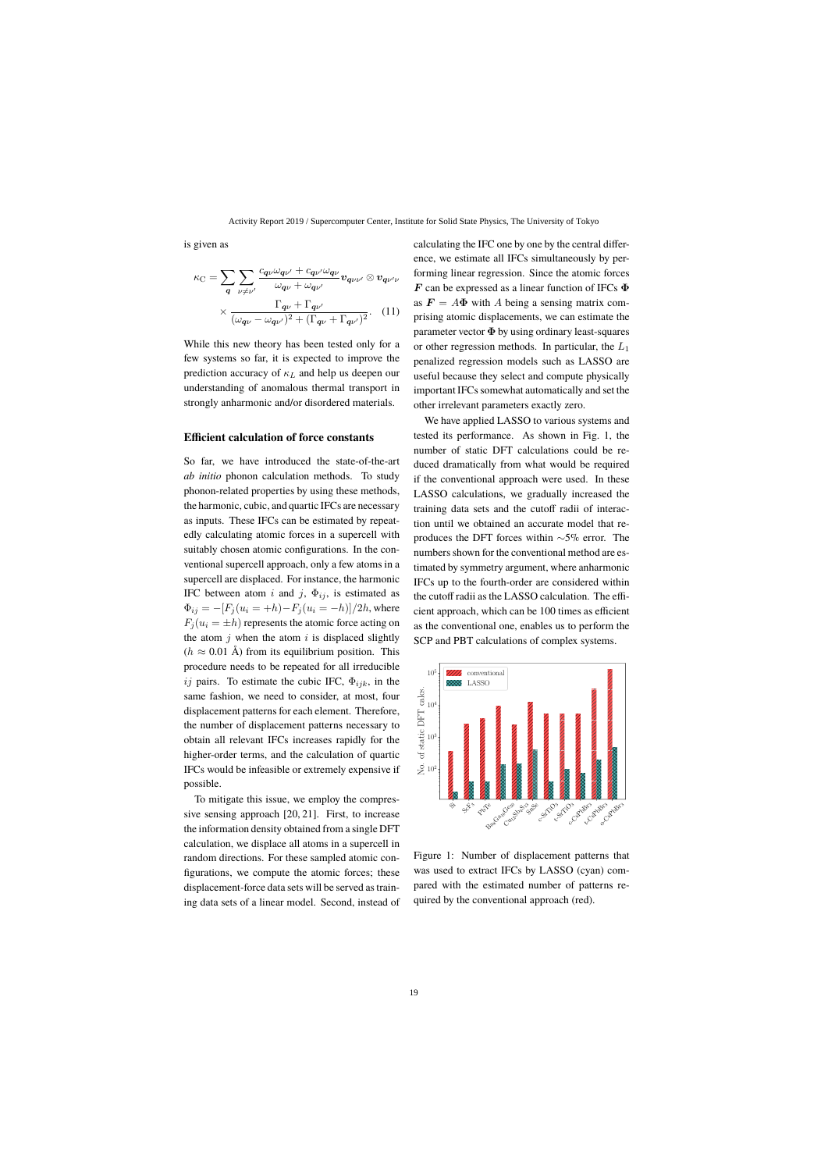is given as

$$
\kappa_{\rm C} = \sum_{q} \sum_{\nu \neq \nu'} \frac{c_{q\nu} \omega_{q\nu'} + c_{q\nu'} \omega_{q\nu}}{\omega_{q\nu} + \omega_{q\nu'}} v_{q\nu\nu'} \otimes v_{q\nu'\nu}
$$

$$
\times \frac{\Gamma_{q\nu} + \Gamma_{q\nu'}}{(\omega_{q\nu} - \omega_{q\nu'})^2 + (\Gamma_{q\nu} + \Gamma_{q\nu'})^2}.
$$
 (11)

While this new theory has been tested only for a few systems so far, it is expected to improve the prediction accuracy of  $\kappa_L$  and help us deepen our understanding of anomalous thermal transport in strongly anharmonic and/or disordered materials.

#### **Efficient calculation of force constants**

So far, we have introduced the state-of-the-art *ab initio* phonon calculation methods. To study phonon-related properties by using these methods, the harmonic, cubic, and quartic IFCs are necessary as inputs. These IFCs can be estimated by repeatedly calculating atomic forces in a supercell with suitably chosen atomic configurations. In the conventional supercell approach, only a few atoms in a supercell are displaced. For instance, the harmonic IFC between atom i and j,  $\Phi_{ij}$ , is estimated as  $\Phi_{ij} = -[F_j(u_i = +h) - F_j(u_i = -h)]/2h$ , where  $F_i (u_i = \pm h)$  represents the atomic force acting on the atom  $i$  when the atom  $i$  is displaced slightly  $(h \approx 0.01 \text{ Å})$  from its equilibrium position. This procedure needs to be repeated for all irreducible ij pairs. To estimate the cubic IFC,  $\Phi_{ijk}$ , in the same fashion, we need to consider, at most, four displacement patterns for each element. Therefore, the number of displacement patterns necessary to obtain all relevant IFCs increases rapidly for the higher-order terms, and the calculation of quartic IFCs would be infeasible or extremely expensive if possible.

To mitigate this issue, we employ the compressive sensing approach [20, 21]. First, to increase the information density obtained from a single DFT calculation, we displace all atoms in a supercell in random directions. For these sampled atomic configurations, we compute the atomic forces; these displacement-force data sets will be served as training data sets of a linear model. Second, instead of calculating the IFC one by one by the central difference, we estimate all IFCs simultaneously by performing linear regression. Since the atomic forces F can be expressed as a linear function of IFCs  $\Phi$ as  $\mathbf{F} = A\mathbf{\Phi}$  with A being a sensing matrix comprising atomic displacements, we can estimate the parameter vector  $\Phi$  by using ordinary least-squares or other regression methods. In particular, the  $L_1$ penalized regression models such as LASSO are useful because they select and compute physically important IFCs somewhat automatically and set the other irrelevant parameters exactly zero.

We have applied LASSO to various systems and tested its performance. As shown in Fig. 1, the number of static DFT calculations could be reduced dramatically from what would be required if the conventional approach were used. In these LASSO calculations, we gradually increased the training data sets and the cutoff radii of interaction until we obtained an accurate model that reproduces the DFT forces within <sup>∼</sup>5% error. The numbers shown for the conventional method are estimated by symmetry argument, where anharmonic IFCs up to the fourth-order are considered within the cutoff radii as the LASSO calculation. The efficient approach, which can be 100 times as efficient as the conventional one, enables us to perform the SCP and PBT calculations of complex systems.



Figure 1: Number of displacement patterns that was used to extract IFCs by LASSO (cyan) compared with the estimated number of patterns required by the conventional approach (red).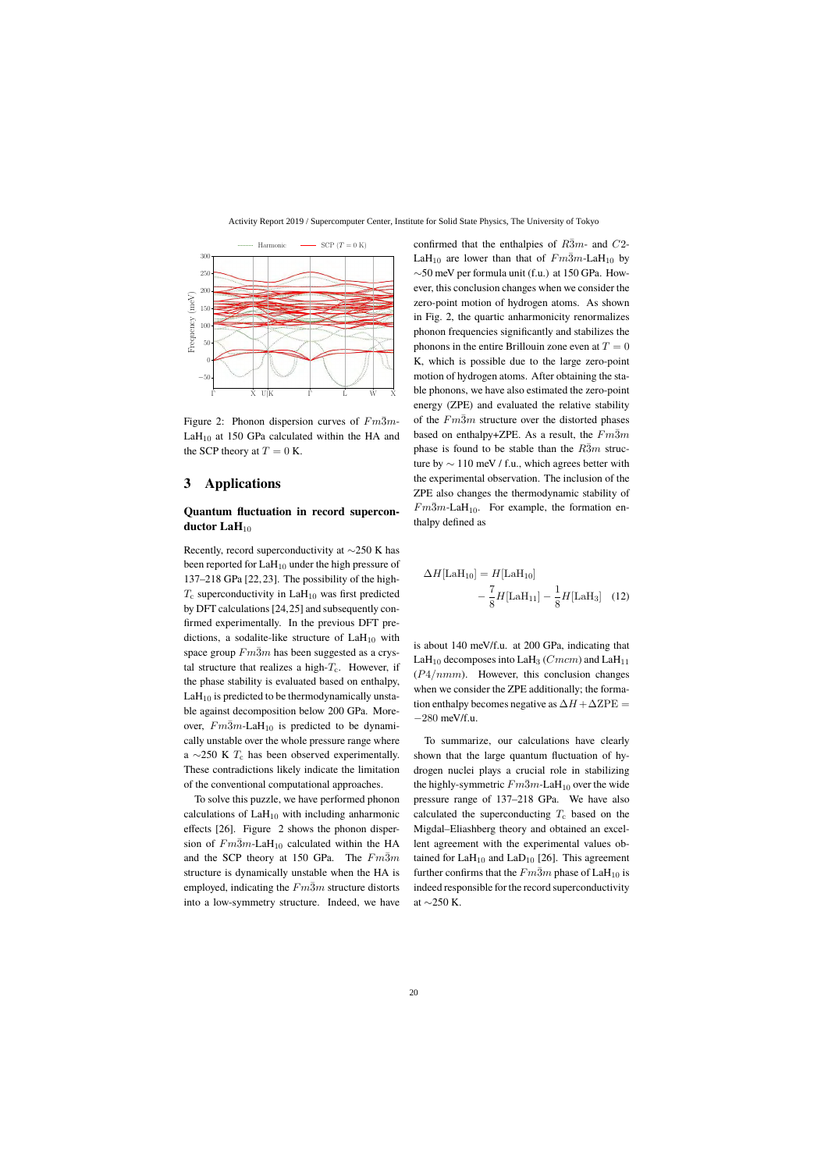

Figure 2: Phonon dispersion curves of  $Fm\overline{3}m$ - $LaH<sub>10</sub>$  at 150 GPa calculated within the HA and the SCP theory at  $T = 0$  K.

# **3 Applications**

# **Quantum fluctuation in record supercon**ductor LaH<sub>10</sub>

Recently, record superconductivity at <sup>∼</sup>250 K has been reported for  $LaH_{10}$  under the high pressure of 137–218 GPa [22, 23]. The possibility of the high- $T_c$  superconductivity in LaH<sub>10</sub> was first predicted by DFT calculations [24,25] and subsequently confirmed experimentally. In the previous DFT predictions, a sodalite-like structure of  $LaH<sub>10</sub>$  with space group  $Fm\overline{3}m$  has been suggested as a crystal structure that realizes a high- $T_c$ . However, if the phase stability is evaluated based on enthalpy,  $LaH<sub>10</sub>$  is predicted to be thermodynamically unstable against decomposition below 200 GPa. Moreover,  $Fm3m$ -LaH<sub>10</sub> is predicted to be dynamically unstable over the whole pressure range where a  $\sim$ 250 K  $T_c$  has been observed experimentally. These contradictions likely indicate the limitation of the conventional computational approaches.

To solve this puzzle, we have performed phonon calculations of  $LaH<sub>10</sub>$  with including anharmonic effects [26]. Figure 2 shows the phonon dispersion of  $Fm\overline{3}m$ -LaH<sub>10</sub> calculated within the HA and the SCP theory at 150 GPa. The  $Fm\overline{3}m$ structure is dynamically unstable when the HA is employed, indicating the  $Fm\overline{3}m$  structure distorts into a low-symmetry structure. Indeed, we have confirmed that the enthalpies of  $R\bar{3}m$ - and  $C2$ -LaH<sub>10</sub> are lower than that of  $Fm\overline{3}m$ -LaH<sub>10</sub> by ∼50 meV per formula unit (f.u.) at 150 GPa. However, this conclusion changes when we consider the zero-point motion of hydrogen atoms. As shown in Fig. 2, the quartic anharmonicity renormalizes phonon frequencies significantly and stabilizes the phonons in the entire Brillouin zone even at  $T = 0$ K, which is possible due to the large zero-point motion of hydrogen atoms. After obtaining the stable phonons, we have also estimated the zero-point energy (ZPE) and evaluated the relative stability of the  $Fm\overline{3}m$  structure over the distorted phases based on enthalpy+ZPE. As a result, the  $Fm\overline{3}m$ phase is found to be stable than the  $R\bar{3}m$  structure by  $\sim$  110 meV / f.u., which agrees better with the experimental observation. The inclusion of the ZPE also changes the thermodynamic stability of  $Fm\overline{3}m$ -LaH<sub>10</sub>. For example, the formation enthalpy defined as

$$
\Delta H[\text{LaH}_{10}] = H[\text{LaH}_{10}] -\frac{7}{8}H[\text{LaH}_{11}] - \frac{1}{8}H[\text{LaH}_{3}]
$$
 (12)

is about 140 meV/f.u. at 200 GPa, indicating that LaH<sub>10</sub> decomposes into LaH<sub>3</sub> (*Cmcm*) and LaH<sub>11</sub>  $(P4/nmm)$ . However, this conclusion changes when we consider the ZPE additionally; the formation enthalpy becomes negative as  $\Delta H + \Delta ZPE =$ <sup>−</sup><sup>280</sup> meV/f.u.

To summarize, our calculations have clearly shown that the large quantum fluctuation of hydrogen nuclei plays a crucial role in stabilizing the highly-symmetric  $Fm\overline{3}m$ -LaH<sub>10</sub> over the wide pressure range of 137–218 GPa. We have also calculated the superconducting  $T_c$  based on the Migdal–Eliashberg theory and obtained an excellent agreement with the experimental values obtained for  $LaH_{10}$  and  $LaD_{10}$  [26]. This agreement further confirms that the  $Fm\bar{3}m$  phase of LaH<sub>10</sub> is indeed responsible for the record superconductivity at <sup>∼</sup>250 K.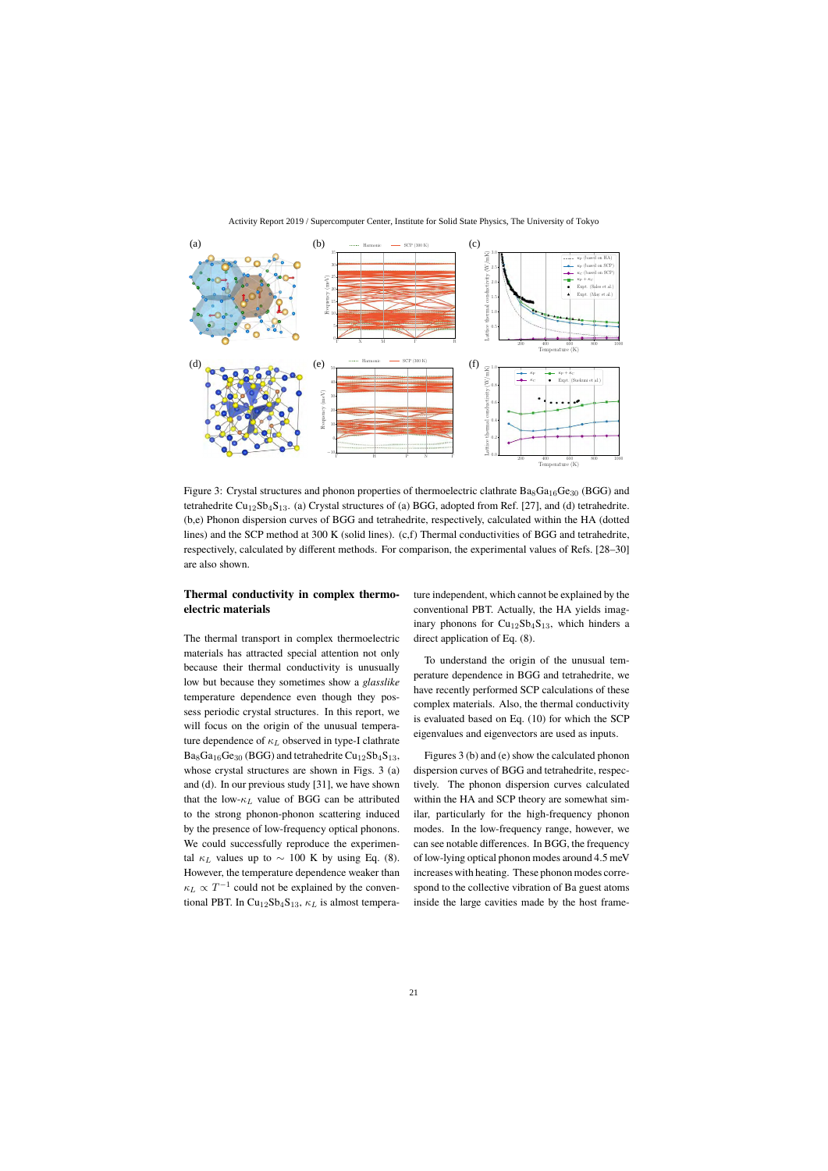

Figure 3: Crystal structures and phonon properties of thermoelectric clathrate  $Ba<sub>8</sub>Ga<sub>16</sub>Ge<sub>30</sub>$  (BGG) and tetrahedrite  $Cu_{12}Sb_{4}S_{13}$ . (a) Crystal structures of (a) BGG, adopted from Ref. [27], and (d) tetrahedrite. (b,e) Phonon dispersion curves of BGG and tetrahedrite, respectively, calculated within the HA (dotted lines) and the SCP method at 300 K (solid lines). (c,f) Thermal conductivities of BGG and tetrahedrite, respectively, calculated by different methods. For comparison, the experimental values of Refs. [28–30] are also shown.

### **Thermal conductivity in complex thermoelectric materials**

The thermal transport in complex thermoelectric materials has attracted special attention not only because their thermal conductivity is unusually low but because they sometimes show a *glasslike* temperature dependence even though they possess periodic crystal structures. In this report, we will focus on the origin of the unusual temperature dependence of  $\kappa_L$  observed in type-I clathrate  $Ba_8Ga_{16}Ge_{30}$  (BGG) and tetrahedrite  $Cu_{12}Sb_4S_{13}$ , whose crystal structures are shown in Figs. 3 (a) and (d). In our previous study [31], we have shown that the low- $\kappa_L$  value of BGG can be attributed to the strong phonon-phonon scattering induced by the presence of low-frequency optical phonons. We could successfully reproduce the experimental  $\kappa_L$  values up to  $\sim 100$  K by using Eq. (8). However, the temperature dependence weaker than  $\kappa_L \propto T^{-1}$  could not be explained by the conventional PBT. In Cu<sub>12</sub>Sb<sub>4</sub>S<sub>13</sub>,  $\kappa$ <sub>L</sub> is almost temperature independent, which cannot be explained by the conventional PBT. Actually, the HA yields imaginary phonons for  $Cu_{12}Sb_4S_{13}$ , which hinders a direct application of Eq. (8).

To understand the origin of the unusual temperature dependence in BGG and tetrahedrite, we have recently performed SCP calculations of these complex materials. Also, the thermal conductivity is evaluated based on Eq. (10) for which the SCP eigenvalues and eigenvectors are used as inputs.

Figures 3 (b) and (e) show the calculated phonon dispersion curves of BGG and tetrahedrite, respectively. The phonon dispersion curves calculated within the HA and SCP theory are somewhat similar, particularly for the high-frequency phonon modes. In the low-frequency range, however, we can see notable differences. In BGG, the frequency of low-lying optical phonon modes around 4.5 meV increases with heating. These phonon modes correspond to the collective vibration of Ba guest atoms inside the large cavities made by the host frame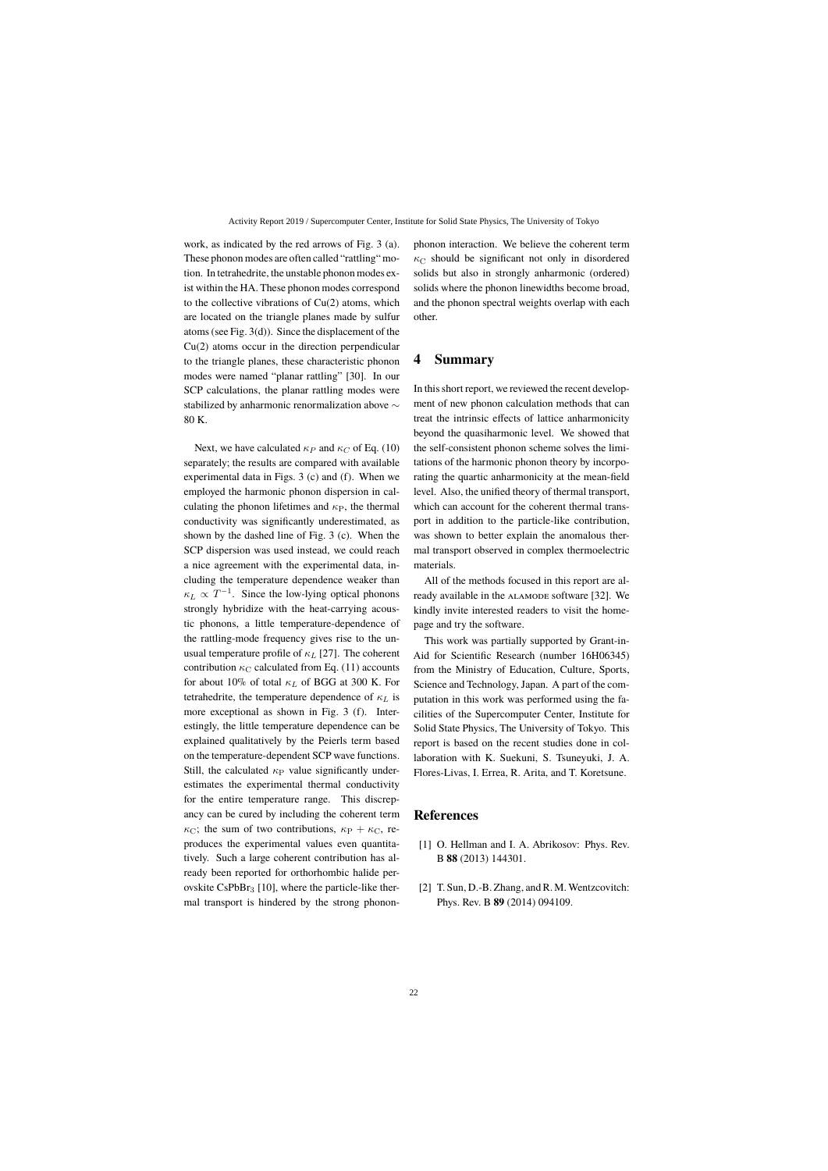work, as indicated by the red arrows of Fig. 3 (a). These phonon modes are often called "rattling" motion. In tetrahedrite, the unstable phonon modes exist within the HA. These phonon modes correspond to the collective vibrations of Cu(2) atoms, which are located on the triangle planes made by sulfur atoms (see Fig. 3(d)). Since the displacement of the Cu(2) atoms occur in the direction perpendicular to the triangle planes, these characteristic phonon modes were named "planar rattling" [30]. In our SCP calculations, the planar rattling modes were stabilized by anharmonic renormalization above <sup>∼</sup> 80 K.

Next, we have calculated  $\kappa_P$  and  $\kappa_C$  of Eq. (10) separately; the results are compared with available experimental data in Figs. 3 (c) and (f). When we employed the harmonic phonon dispersion in calculating the phonon lifetimes and  $\kappa_{\rm P}$ , the thermal conductivity was significantly underestimated, as shown by the dashed line of Fig. 3 (c). When the SCP dispersion was used instead, we could reach a nice agreement with the experimental data, including the temperature dependence weaker than  $\kappa_L \propto T^{-1}$ . Since the low-lying optical phonons strongly hybridize with the heat-carrying acoustic phonons, a little temperature-dependence of the rattling-mode frequency gives rise to the unusual temperature profile of  $\kappa_L$  [27]. The coherent contribution  $\kappa_C$  calculated from Eq. (11) accounts for about 10% of total  $\kappa_L$  of BGG at 300 K. For tetrahedrite, the temperature dependence of  $\kappa_L$  is more exceptional as shown in Fig. 3 (f). Interestingly, the little temperature dependence can be explained qualitatively by the Peierls term based on the temperature-dependent SCP wave functions. Still, the calculated  $\kappa_P$  value significantly underestimates the experimental thermal conductivity for the entire temperature range. This discrepancy can be cured by including the coherent term  $\kappa_{\rm C}$ ; the sum of two contributions,  $\kappa_{\rm P} + \kappa_{\rm C}$ , reproduces the experimental values even quantitatively. Such a large coherent contribution has already been reported for orthorhombic halide perovskite  $CsPbBr<sub>3</sub>$  [10], where the particle-like thermal transport is hindered by the strong phonon-

phonon interaction. We believe the coherent term  $\kappa_{\rm C}$  should be significant not only in disordered solids but also in strongly anharmonic (ordered) solids where the phonon linewidths become broad, and the phonon spectral weights overlap with each other.

# **4 Summary**

In this short report, we reviewed the recent development of new phonon calculation methods that can treat the intrinsic effects of lattice anharmonicity beyond the quasiharmonic level. We showed that the self-consistent phonon scheme solves the limitations of the harmonic phonon theory by incorporating the quartic anharmonicity at the mean-field level. Also, the unified theory of thermal transport, which can account for the coherent thermal transport in addition to the particle-like contribution, was shown to better explain the anomalous thermal transport observed in complex thermoelectric materials.

All of the methods focused in this report are already available in the ALAMODE software [32]. We kindly invite interested readers to visit the homepage and try the software.

This work was partially supported by Grant-in-Aid for Scientific Research (number 16H06345) from the Ministry of Education, Culture, Sports, Science and Technology, Japan. A part of the computation in this work was performed using the facilities of the Supercomputer Center, Institute for Solid State Physics, The University of Tokyo. This report is based on the recent studies done in collaboration with K. Suekuni, S. Tsuneyuki, J. A. Flores-Livas, I. Errea, R. Arita, and T. Koretsune.

### **References**

- [1] O. Hellman and I. A. Abrikosov: Phys. Rev. B **88** (2013) 144301.
- [2] T. Sun, D.-B. Zhang, and R. M. Wentzcovitch: Phys. Rev. B **89** (2014) 094109.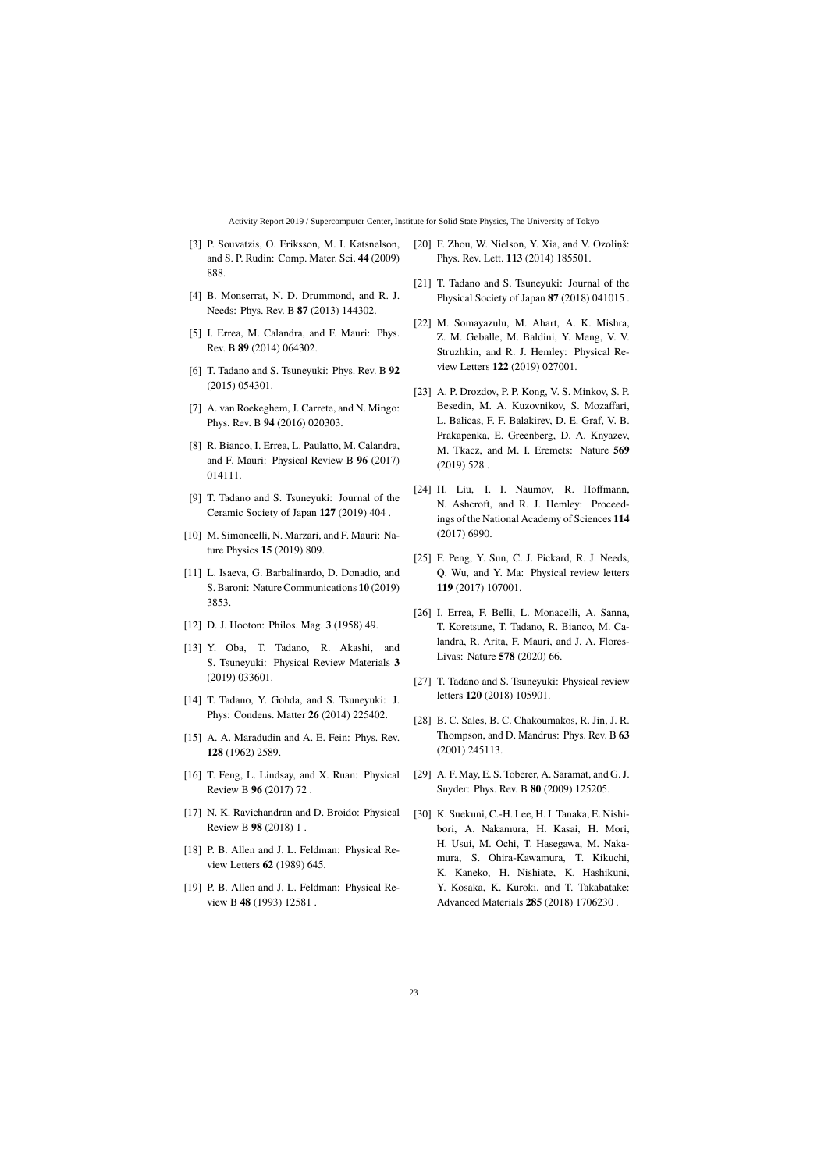- [3] P. Souvatzis, O. Eriksson, M. I. Katsnelson, and S. P. Rudin: Comp. Mater. Sci. **44** (2009) 888.
- [4] B. Monserrat, N. D. Drummond, and R. J. Needs: Phys. Rev. B **87** (2013) 144302.
- [5] I. Errea, M. Calandra, and F. Mauri: Phys. Rev. B **89** (2014) 064302.
- [6] T. Tadano and S. Tsuneyuki: Phys. Rev. B **92** (2015) 054301.
- [7] A. van Roekeghem, J. Carrete, and N. Mingo: Phys. Rev. B **94** (2016) 020303.
- [8] R. Bianco, I. Errea, L. Paulatto, M. Calandra, and F. Mauri: Physical Review B **96** (2017) 014111.
- [9] T. Tadano and S. Tsuneyuki: Journal of the Ceramic Society of Japan **127** (2019) 404 .
- [10] M. Simoncelli, N. Marzari, and F. Mauri: Nature Physics **15** (2019) 809.
- [11] L. Isaeva, G. Barbalinardo, D. Donadio, and S. Baroni: Nature Communications **10** (2019) 3853.
- [12] D. J. Hooton: Philos. Mag. **3** (1958) 49.
- [13] Y. Oba, T. Tadano, R. Akashi, and S. Tsuneyuki: Physical Review Materials **3** (2019) 033601.
- [14] T. Tadano, Y. Gohda, and S. Tsuneyuki: J. Phys: Condens. Matter **26** (2014) 225402.
- [15] A. A. Maradudin and A. E. Fein: Phys. Rev. **128** (1962) 2589.
- [16] T. Feng, L. Lindsay, and X. Ruan: Physical Review B **96** (2017) 72 .
- [17] N. K. Ravichandran and D. Broido: Physical Review B **98** (2018) 1 .
- [18] P. B. Allen and J. L. Feldman: Physical Review Letters **62** (1989) 645.
- [19] P. B. Allen and J. L. Feldman: Physical Review B **48** (1993) 12581 .
- [20] F. Zhou, W. Nielson, Y. Xia, and V. Ozolinš: Phys. Rev. Lett. **113** (2014) 185501.
- [21] T. Tadano and S. Tsuneyuki: Journal of the Physical Society of Japan **87** (2018) 041015 .
- [22] M. Somayazulu, M. Ahart, A. K. Mishra, Z. M. Geballe, M. Baldini, Y. Meng, V. V. Struzhkin, and R. J. Hemley: Physical Review Letters **122** (2019) 027001.
- [23] A. P. Drozdov, P. P. Kong, V. S. Minkov, S. P. Besedin, M. A. Kuzovnikov, S. Mozaffari, L. Balicas, F. F. Balakirev, D. E. Graf, V. B. Prakapenka, E. Greenberg, D. A. Knyazev, M. Tkacz, and M. I. Eremets: Nature **569** (2019) 528 .
- [24] H. Liu, I. I. Naumov, R. Hoffmann, N. Ashcroft, and R. J. Hemley: Proceedings of the National Academy of Sciences **114** (2017) 6990.
- [25] F. Peng, Y. Sun, C. J. Pickard, R. J. Needs, Q. Wu, and Y. Ma: Physical review letters **119** (2017) 107001.
- [26] I. Errea, F. Belli, L. Monacelli, A. Sanna, T. Koretsune, T. Tadano, R. Bianco, M. Calandra, R. Arita, F. Mauri, and J. A. Flores-Livas: Nature **578** (2020) 66.
- [27] T. Tadano and S. Tsuneyuki: Physical review letters **120** (2018) 105901.
- [28] B. C. Sales, B. C. Chakoumakos, R. Jin, J. R. Thompson, and D. Mandrus: Phys. Rev. B **63** (2001) 245113.
- [29] A. F. May, E. S. Toberer, A. Saramat, and G. J. Snyder: Phys. Rev. B **80** (2009) 125205.
- [30] K. Suekuni, C.-H. Lee, H. I. Tanaka, E. Nishibori, A. Nakamura, H. Kasai, H. Mori, H. Usui, M. Ochi, T. Hasegawa, M. Nakamura, S. Ohira-Kawamura, T. Kikuchi, K. Kaneko, H. Nishiate, K. Hashikuni, Y. Kosaka, K. Kuroki, and T. Takabatake: Advanced Materials **285** (2018) 1706230 .